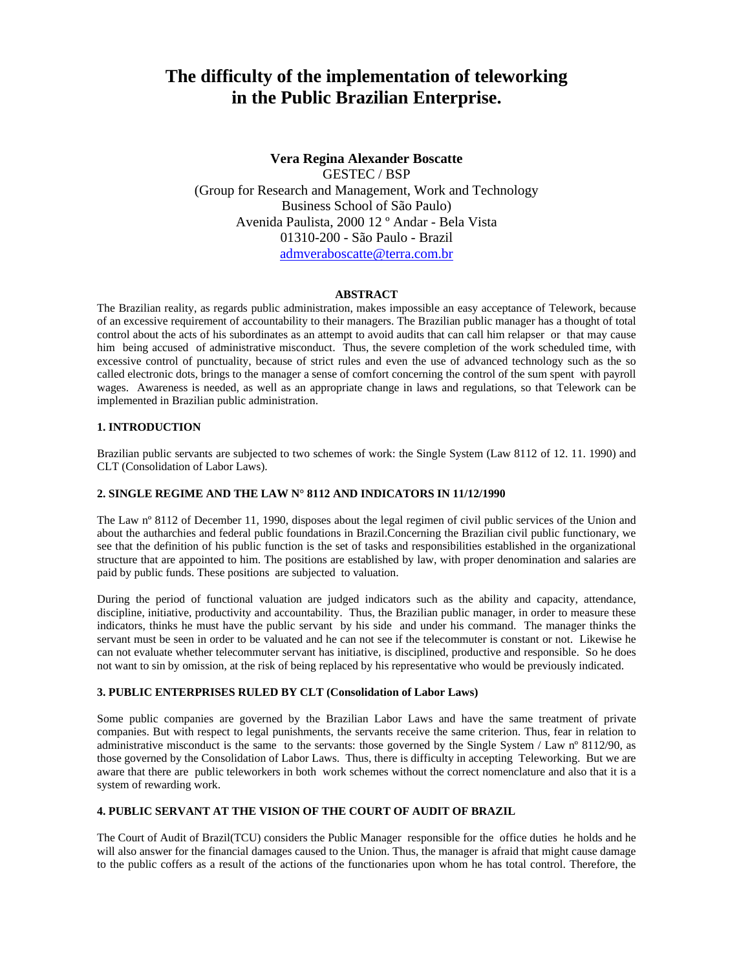# **The difficulty of the implementation of teleworking in the Public Brazilian Enterprise.**

**Vera Regina Alexander Boscatte**  GESTEC / BSP (Group for Research and Management, Work and Technology Business School of São Paulo) Avenida Paulista, 2000 12 º Andar - Bela Vista 01310-200 - São Paulo - Brazil admveraboscatte@terra.com.br

# **ABSTRACT**

The Brazilian reality, as regards public administration, makes impossible an easy acceptance of Telework, because of an excessive requirement of accountability to their managers. The Brazilian public manager has a thought of total control about the acts of his subordinates as an attempt to avoid audits that can call him relapser or that may cause him being accused of administrative misconduct. Thus, the severe completion of the work scheduled time, with excessive control of punctuality, because of strict rules and even the use of advanced technology such as the so called electronic dots, brings to the manager a sense of comfort concerning the control of the sum spent with payroll wages. Awareness is needed, as well as an appropriate change in laws and regulations, so that Telework can be implemented in Brazilian public administration.

#### **1. INTRODUCTION**

Brazilian public servants are subjected to two schemes of work: the Single System (Law 8112 of 12. 11. 1990) and CLT (Consolidation of Labor Laws).

## **2. SINGLE REGIME AND THE LAW N° 8112 AND INDICATORS IN 11/12/1990**

The Law nº 8112 of December 11, 1990, disposes about the legal regimen of civil public services of the Union and about the autharchies and federal public foundations in Brazil.Concerning the Brazilian civil public functionary, we see that the definition of his public function is the set of tasks and responsibilities established in the organizational structure that are appointed to him. The positions are established by law, with proper denomination and salaries are paid by public funds. These positions are subjected to valuation.

During the period of functional valuation are judged indicators such as the ability and capacity, attendance, discipline, initiative, productivity and accountability. Thus, the Brazilian public manager, in order to measure these indicators, thinks he must have the public servant by his side and under his command. The manager thinks the servant must be seen in order to be valuated and he can not see if the telecommuter is constant or not. Likewise he can not evaluate whether telecommuter servant has initiative, is disciplined, productive and responsible. So he does not want to sin by omission, at the risk of being replaced by his representative who would be previously indicated.

### **3. PUBLIC ENTERPRISES RULED BY CLT (Consolidation of Labor Laws)**

Some public companies are governed by the Brazilian Labor Laws and have the same treatment of private companies. But with respect to legal punishments, the servants receive the same criterion. Thus, fear in relation to administrative misconduct is the same to the servants: those governed by the Single System / Law n° 8112/90, as those governed by the Consolidation of Labor Laws. Thus, there is difficulty in accepting Teleworking. But we are aware that there are public teleworkers in both work schemes without the correct nomenclature and also that it is a system of rewarding work.

### **4. PUBLIC SERVANT AT THE VISION OF THE COURT OF AUDIT OF BRAZIL**

The Court of Audit of Brazil(TCU) considers the Public Manager responsible for the office duties he holds and he will also answer for the financial damages caused to the Union. Thus, the manager is afraid that might cause damage to the public coffers as a result of the actions of the functionaries upon whom he has total control. Therefore, the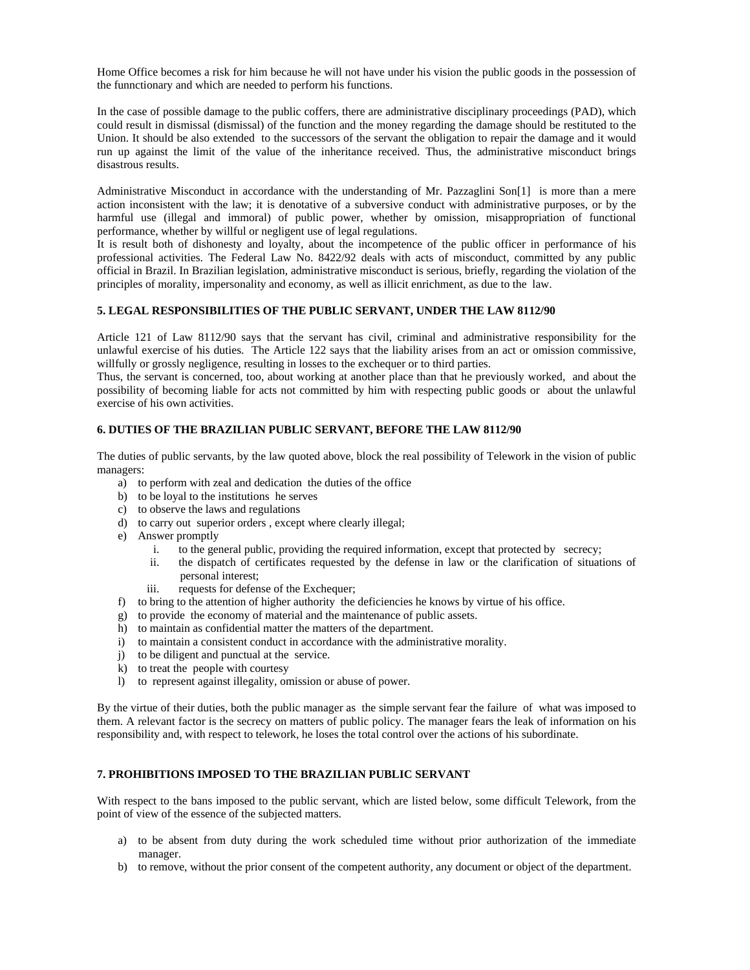Home Office becomes a risk for him because he will not have under his vision the public goods in the possession of the funnctionary and which are needed to perform his functions.

In the case of possible damage to the public coffers, there are administrative disciplinary proceedings (PAD), which could result in dismissal (dismissal) of the function and the money regarding the damage should be restituted to the Union. It should be also extended to the successors of the servant the obligation to repair the damage and it would run up against the limit of the value of the inheritance received. Thus, the administrative misconduct brings disastrous results.

Administrative Misconduct in accordance with the understanding of Mr. Pazzaglini Son[1] is more than a mere action inconsistent with the law; it is denotative of a subversive conduct with administrative purposes, or by the harmful use (illegal and immoral) of public power, whether by omission, misappropriation of functional performance, whether by willful or negligent use of legal regulations.

It is result both of dishonesty and loyalty, about the incompetence of the public officer in performance of his professional activities. The Federal Law No. 8422/92 deals with acts of misconduct, committed by any public official in Brazil. In Brazilian legislation, administrative misconduct is serious, briefly, regarding the violation of the principles of morality, impersonality and economy, as well as illicit enrichment, as due to the law.

# **5. LEGAL RESPONSIBILITIES OF THE PUBLIC SERVANT, UNDER THE LAW 8112/90**

Article 121 of Law 8112/90 says that the servant has civil, criminal and administrative responsibility for the unlawful exercise of his duties. The Article 122 says that the liability arises from an act or omission commissive, willfully or grossly negligence, resulting in losses to the exchequer or to third parties.

Thus, the servant is concerned, too, about working at another place than that he previously worked, and about the possibility of becoming liable for acts not committed by him with respecting public goods or about the unlawful exercise of his own activities.

# **6. DUTIES OF THE BRAZILIAN PUBLIC SERVANT, BEFORE THE LAW 8112/90**

The duties of public servants, by the law quoted above, block the real possibility of Telework in the vision of public managers:

- a) to perform with zeal and dedication the duties of the office
- b) to be loyal to the institutions he serves
- c) to observe the laws and regulations
- d) to carry out superior orders , except where clearly illegal;
- e) Answer promptly
	- i. to the general public, providing the required information, except that protected by secrecy;
	- ii. the dispatch of certificates requested by the defense in law or the clarification of situations of personal interest;
	- iii. requests for defense of the Exchequer;
- f) to bring to the attention of higher authority the deficiencies he knows by virtue of his office.
- g) to provide the economy of material and the maintenance of public assets.
- h) to maintain as confidential matter the matters of the department.
- i) to maintain a consistent conduct in accordance with the administrative morality.
- j) to be diligent and punctual at the service.
- k) to treat the people with courtesy
- l) to represent against illegality, omission or abuse of power.

By the virtue of their duties, both the public manager as the simple servant fear the failure of what was imposed to them. A relevant factor is the secrecy on matters of public policy. The manager fears the leak of information on his responsibility and, with respect to telework, he loses the total control over the actions of his subordinate.

# **7. PROHIBITIONS IMPOSED TO THE BRAZILIAN PUBLIC SERVANT**

With respect to the bans imposed to the public servant, which are listed below, some difficult Telework, from the point of view of the essence of the subjected matters.

- a) to be absent from duty during the work scheduled time without prior authorization of the immediate manager.
- b) to remove, without the prior consent of the competent authority, any document or object of the department.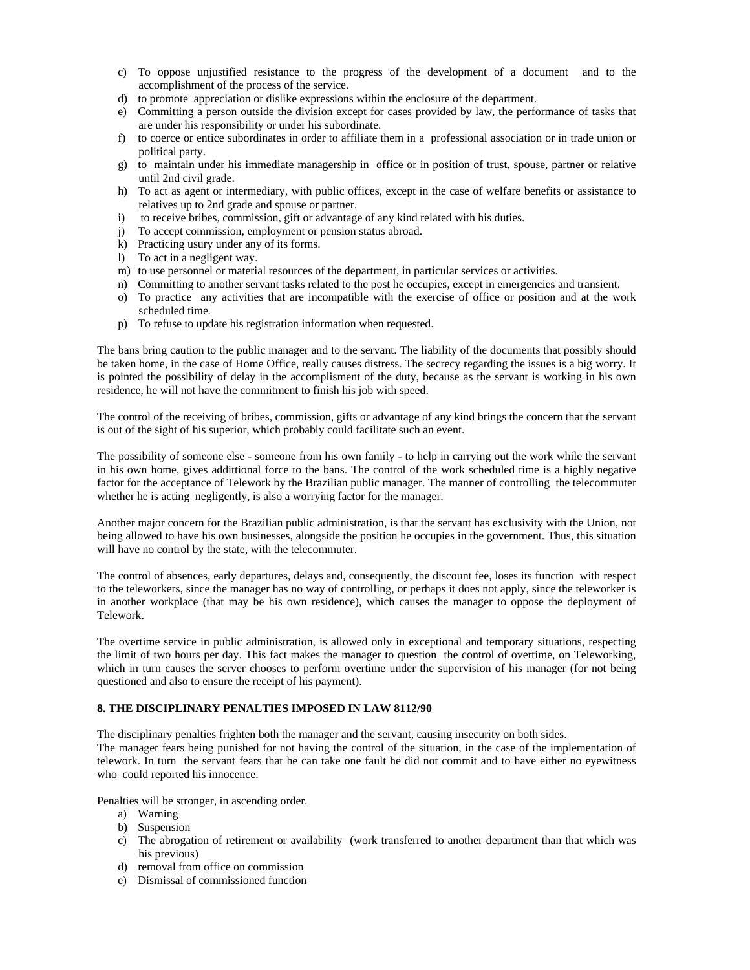- c) To oppose unjustified resistance to the progress of the development of a document and to the accomplishment of the process of the service.
- d) to promote appreciation or dislike expressions within the enclosure of the department.
- e) Committing a person outside the division except for cases provided by law, the performance of tasks that are under his responsibility or under his subordinate.
- f) to coerce or entice subordinates in order to affiliate them in a professional association or in trade union or political party.
- g) to maintain under his immediate managership in office or in position of trust, spouse, partner or relative until 2nd civil grade.
- h) To act as agent or intermediary, with public offices, except in the case of welfare benefits or assistance to relatives up to 2nd grade and spouse or partner.
- i) to receive bribes, commission, gift or advantage of any kind related with his duties.
- j) To accept commission, employment or pension status abroad.
- k) Practicing usury under any of its forms.
- l) To act in a negligent way.
- m) to use personnel or material resources of the department, in particular services or activities.
- n) Committing to another servant tasks related to the post he occupies, except in emergencies and transient.
- o) To practice any activities that are incompatible with the exercise of office or position and at the work scheduled time.
- p) To refuse to update his registration information when requested.

The bans bring caution to the public manager and to the servant. The liability of the documents that possibly should be taken home, in the case of Home Office, really causes distress. The secrecy regarding the issues is a big worry. It is pointed the possibility of delay in the accomplisment of the duty, because as the servant is working in his own residence, he will not have the commitment to finish his job with speed.

The control of the receiving of bribes, commission, gifts or advantage of any kind brings the concern that the servant is out of the sight of his superior, which probably could facilitate such an event.

The possibility of someone else - someone from his own family - to help in carrying out the work while the servant in his own home, gives addittional force to the bans. The control of the work scheduled time is a highly negative factor for the acceptance of Telework by the Brazilian public manager. The manner of controlling the telecommuter whether he is acting negligently, is also a worrying factor for the manager.

Another major concern for the Brazilian public administration, is that the servant has exclusivity with the Union, not being allowed to have his own businesses, alongside the position he occupies in the government. Thus, this situation will have no control by the state, with the telecommuter.

The control of absences, early departures, delays and, consequently, the discount fee, loses its function with respect to the teleworkers, since the manager has no way of controlling, or perhaps it does not apply, since the teleworker is in another workplace (that may be his own residence), which causes the manager to oppose the deployment of Telework.

The overtime service in public administration, is allowed only in exceptional and temporary situations, respecting the limit of two hours per day. This fact makes the manager to question the control of overtime, on Teleworking, which in turn causes the server chooses to perform overtime under the supervision of his manager (for not being questioned and also to ensure the receipt of his payment).

# **8. THE DISCIPLINARY PENALTIES IMPOSED IN LAW 8112/90**

The disciplinary penalties frighten both the manager and the servant, causing insecurity on both sides. The manager fears being punished for not having the control of the situation, in the case of the implementation of telework. In turn the servant fears that he can take one fault he did not commit and to have either no eyewitness who could reported his innocence.

Penalties will be stronger, in ascending order.

- a) Warning
- b) Suspension
- c) The abrogation of retirement or availability (work transferred to another department than that which was his previous)
- d) removal from office on commission
- e) Dismissal of commissioned function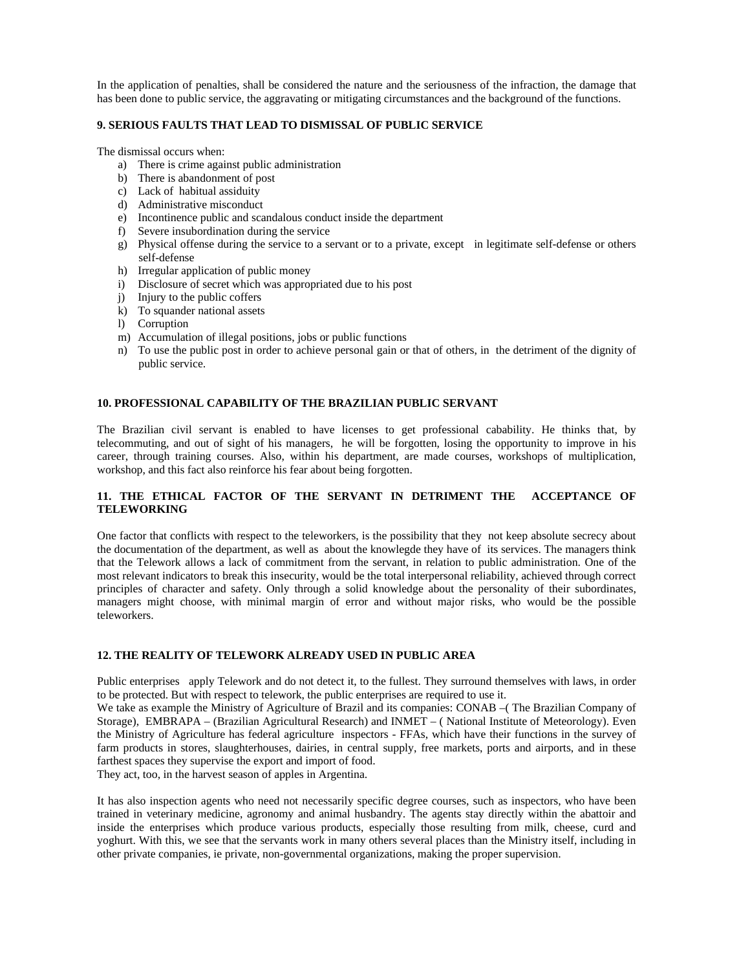In the application of penalties, shall be considered the nature and the seriousness of the infraction, the damage that has been done to public service, the aggravating or mitigating circumstances and the background of the functions.

# **9. SERIOUS FAULTS THAT LEAD TO DISMISSAL OF PUBLIC SERVICE**

The dismissal occurs when:

- a) There is crime against public administration
- b) There is abandonment of post
- c) Lack of habitual assiduity
- d) Administrative misconduct
- e) Incontinence public and scandalous conduct inside the department
- f) Severe insubordination during the service
- g) Physical offense during the service to a servant or to a private, except in legitimate self-defense or others self-defense
- h) Irregular application of public money
- i) Disclosure of secret which was appropriated due to his post
- j) Injury to the public coffers
- k) To squander national assets
- l) Corruption
- m) Accumulation of illegal positions, jobs or public functions
- n) To use the public post in order to achieve personal gain or that of others, in the detriment of the dignity of public service.

## **10. PROFESSIONAL CAPABILITY OF THE BRAZILIAN PUBLIC SERVANT**

The Brazilian civil servant is enabled to have licenses to get professional cabability. He thinks that, by telecommuting, and out of sight of his managers, he will be forgotten, losing the opportunity to improve in his career, through training courses. Also, within his department, are made courses, workshops of multiplication, workshop, and this fact also reinforce his fear about being forgotten.

# **11. THE ETHICAL FACTOR OF THE SERVANT IN DETRIMENT THE ACCEPTANCE OF TELEWORKING**

One factor that conflicts with respect to the teleworkers, is the possibility that they not keep absolute secrecy about the documentation of the department, as well as about the knowlegde they have of its services. The managers think that the Telework allows a lack of commitment from the servant, in relation to public administration. One of the most relevant indicators to break this insecurity, would be the total interpersonal reliability, achieved through correct principles of character and safety. Only through a solid knowledge about the personality of their subordinates, managers might choose, with minimal margin of error and without major risks, who would be the possible teleworkers.

# **12. THE REALITY OF TELEWORK ALREADY USED IN PUBLIC AREA**

Public enterprises apply Telework and do not detect it, to the fullest. They surround themselves with laws, in order to be protected. But with respect to telework, the public enterprises are required to use it.

We take as example the Ministry of Agriculture of Brazil and its companies: CONAB –(The Brazilian Company of Storage), EMBRAPA – (Brazilian Agricultural Research) and INMET – ( National Institute of Meteorology). Even the Ministry of Agriculture has federal agriculture inspectors - FFAs, which have their functions in the survey of farm products in stores, slaughterhouses, dairies, in central supply, free markets, ports and airports, and in these farthest spaces they supervise the export and import of food.

They act, too, in the harvest season of apples in Argentina.

It has also inspection agents who need not necessarily specific degree courses, such as inspectors, who have been trained in veterinary medicine, agronomy and animal husbandry. The agents stay directly within the abattoir and inside the enterprises which produce various products, especially those resulting from milk, cheese, curd and yoghurt. With this, we see that the servants work in many others several places than the Ministry itself, including in other private companies, ie private, non-governmental organizations, making the proper supervision.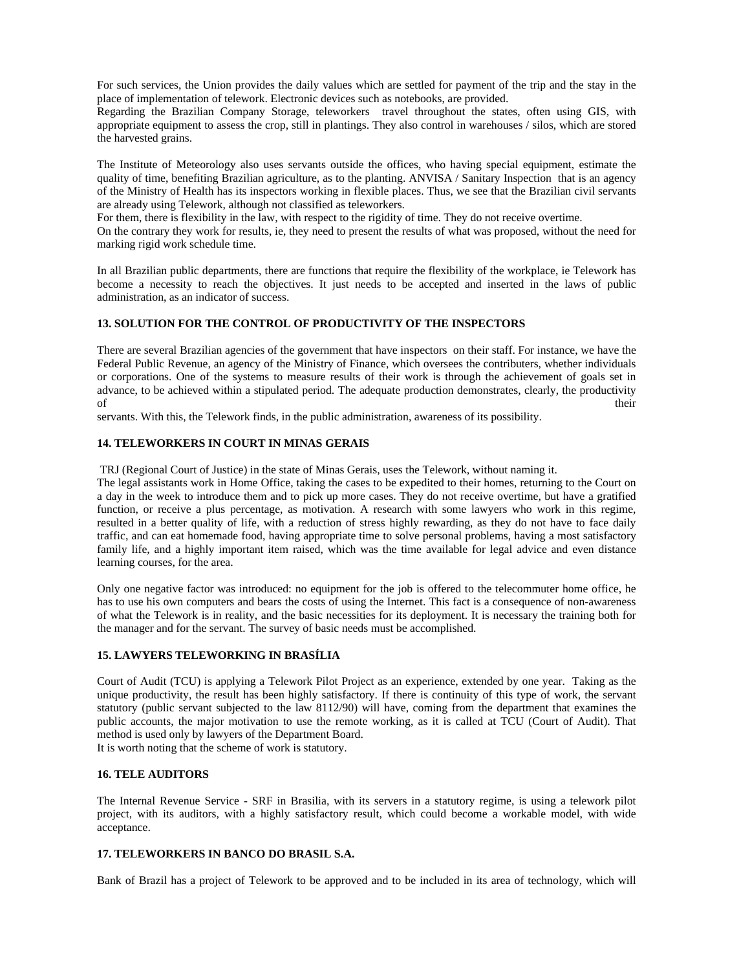For such services, the Union provides the daily values which are settled for payment of the trip and the stay in the place of implementation of telework. Electronic devices such as notebooks, are provided.

Regarding the Brazilian Company Storage, teleworkers travel throughout the states, often using GIS, with appropriate equipment to assess the crop, still in plantings. They also control in warehouses / silos, which are stored the harvested grains.

The Institute of Meteorology also uses servants outside the offices, who having special equipment, estimate the quality of time, benefiting Brazilian agriculture, as to the planting. ANVISA / Sanitary Inspection that is an agency of the Ministry of Health has its inspectors working in flexible places. Thus, we see that the Brazilian civil servants are already using Telework, although not classified as teleworkers.

For them, there is flexibility in the law, with respect to the rigidity of time. They do not receive overtime.

On the contrary they work for results, ie, they need to present the results of what was proposed, without the need for marking rigid work schedule time.

In all Brazilian public departments, there are functions that require the flexibility of the workplace, ie Telework has become a necessity to reach the objectives. It just needs to be accepted and inserted in the laws of public administration, as an indicator of success.

# **13. SOLUTION FOR THE CONTROL OF PRODUCTIVITY OF THE INSPECTORS**

There are several Brazilian agencies of the government that have inspectors on their staff. For instance, we have the Federal Public Revenue, an agency of the Ministry of Finance, which oversees the contributers, whether individuals or corporations. One of the systems to measure results of their work is through the achievement of goals set in advance, to be achieved within a stipulated period. The adequate production demonstrates, clearly, the productivity of their the state of the state of the state of the state of the state of the state of the state of the state of the state of the state of the state of the state of the state of the state of the state of the state of the s

servants. With this, the Telework finds, in the public administration, awareness of its possibility.

# **14. TELEWORKERS IN COURT IN MINAS GERAIS**

TRJ (Regional Court of Justice) in the state of Minas Gerais, uses the Telework, without naming it.

The legal assistants work in Home Office, taking the cases to be expedited to their homes, returning to the Court on a day in the week to introduce them and to pick up more cases. They do not receive overtime, but have a gratified function, or receive a plus percentage, as motivation. A research with some lawyers who work in this regime, resulted in a better quality of life, with a reduction of stress highly rewarding, as they do not have to face daily traffic, and can eat homemade food, having appropriate time to solve personal problems, having a most satisfactory family life, and a highly important item raised, which was the time available for legal advice and even distance learning courses, for the area.

Only one negative factor was introduced: no equipment for the job is offered to the telecommuter home office, he has to use his own computers and bears the costs of using the Internet. This fact is a consequence of non-awareness of what the Telework is in reality, and the basic necessities for its deployment. It is necessary the training both for the manager and for the servant. The survey of basic needs must be accomplished.

# **15. LAWYERS TELEWORKING IN BRASÍLIA**

Court of Audit (TCU) is applying a Telework Pilot Project as an experience, extended by one year. Taking as the unique productivity, the result has been highly satisfactory. If there is continuity of this type of work, the servant statutory (public servant subjected to the law 8112/90) will have, coming from the department that examines the public accounts, the major motivation to use the remote working, as it is called at TCU (Court of Audit). That method is used only by lawyers of the Department Board.

It is worth noting that the scheme of work is statutory.

# **16. TELE AUDITORS**

The Internal Revenue Service - SRF in Brasilia, with its servers in a statutory regime, is using a telework pilot project, with its auditors, with a highly satisfactory result, which could become a workable model, with wide acceptance.

#### **17. TELEWORKERS IN BANCO DO BRASIL S.A.**

Bank of Brazil has a project of Telework to be approved and to be included in its area of technology, which will